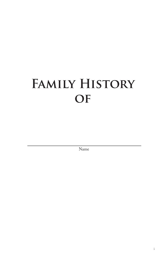# **Family History of**

Name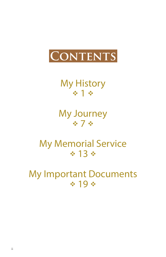

My History ※1※

My Journey ※7※

My Memorial Service  $* 13 *$ 

My Important Documents  $419.4$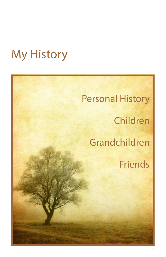## My History

# Personal History Children Grandchildren Friends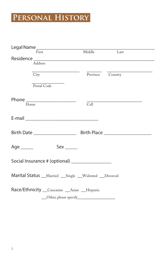### **Personal History**

| $\textsf{Legal Name}\xspace\nonumber\\ \overline{\text{m:act}}\text{Middle}$                                  |                  |      |
|---------------------------------------------------------------------------------------------------------------|------------------|------|
|                                                                                                               |                  | Last |
|                                                                                                               |                  |      |
| ${\bf Residence} \over {\bf Address}$                                                                         |                  |      |
|                                                                                                               |                  |      |
| City                                                                                                          | Province Country |      |
|                                                                                                               |                  |      |
| Postal Code                                                                                                   |                  |      |
|                                                                                                               |                  |      |
| Phone _______________________                                                                                 |                  |      |
| Home                                                                                                          | Cell             |      |
|                                                                                                               |                  |      |
| E-mail 2008 2009 2010 2021 2022 2023 2024 2022 2023 2024 2022 2023 2024 2022 2023 2024 2022 2023 2024 2022 20 |                  |      |
|                                                                                                               |                  |      |
|                                                                                                               |                  |      |
|                                                                                                               |                  |      |
|                                                                                                               |                  |      |
| Age $\_\_\_\_\_\$<br>Sex <                                                                                    |                  |      |
|                                                                                                               |                  |      |
|                                                                                                               |                  |      |
| Social Insurance # (optional) ________________                                                                |                  |      |
|                                                                                                               |                  |      |
| Marital Status __Married __Single __Widowed __Divorced                                                        |                  |      |
|                                                                                                               |                  |      |
|                                                                                                               |                  |      |
| Race/Ethnicity __ Caucasian __ Asian __ Hispanic                                                              |                  |      |
|                                                                                                               |                  |      |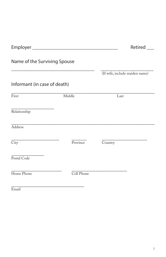|                              |            | Retired                        |
|------------------------------|------------|--------------------------------|
| Name of the Surviving Spouse |            |                                |
|                              |            | (If wife, include maiden name) |
| Informant (in case of death) |            |                                |
| First                        | Middle     | Last                           |
| Relationship                 |            |                                |
| Address                      |            |                                |
| $\overline{\mathrm{City}}$   | Province   | Country                        |
| Postal Code                  |            |                                |
| Home Phone                   | Cell Phone |                                |
|                              |            |                                |

Email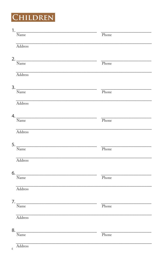### CHILDREN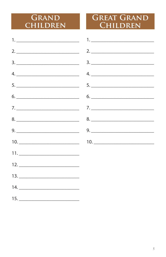#### GRAND CHILDREN

#### **GREAT GRAND** CHILDREN

| 2. $\frac{1}{2}$ 2. $\frac{1}{2}$ 2. $\frac{1}{2}$ 2. $\frac{1}{2}$ 2. $\frac{1}{2}$ 2. $\frac{1}{2}$ 2. $\frac{1}{2}$ 2. $\frac{1}{2}$ 2. $\frac{1}{2}$ 2. $\frac{1}{2}$ 2. $\frac{1}{2}$ 2. $\frac{1}{2}$ 2. $\frac{1}{2}$ 2. $\frac{1}{2}$ 2. $\frac{1}{2}$ 2. $\frac{1}{2}$ 2. $\frac{1}{2}$ |
|--------------------------------------------------------------------------------------------------------------------------------------------------------------------------------------------------------------------------------------------------------------------------------------------------|
|                                                                                                                                                                                                                                                                                                  |
|                                                                                                                                                                                                                                                                                                  |
|                                                                                                                                                                                                                                                                                                  |
| $6. \underline{\hspace{1.5cm}} \qquad 6. \underline{\hspace{1.5cm}}$                                                                                                                                                                                                                             |
|                                                                                                                                                                                                                                                                                                  |
|                                                                                                                                                                                                                                                                                                  |
|                                                                                                                                                                                                                                                                                                  |
|                                                                                                                                                                                                                                                                                                  |
|                                                                                                                                                                                                                                                                                                  |
|                                                                                                                                                                                                                                                                                                  |
|                                                                                                                                                                                                                                                                                                  |
|                                                                                                                                                                                                                                                                                                  |
|                                                                                                                                                                                                                                                                                                  |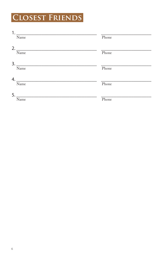## **CLOSEST FRIENDS**

| 1. |                                     |       |
|----|-------------------------------------|-------|
|    | Name                                | Phone |
|    |                                     |       |
|    | 2.                                  |       |
|    | Name                                | Phone |
|    |                                     |       |
|    |                                     |       |
|    | Name                                | Phone |
|    |                                     |       |
| 4. |                                     |       |
|    | Name                                | Phone |
|    |                                     |       |
|    |                                     |       |
|    | $\begin{array}{c}\n5.\n\end{array}$ |       |
|    | Name                                | Phone |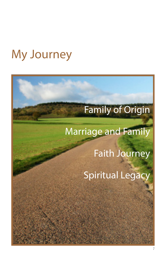## My Journey

## Family of Origin

## Marriage and Family

Faith Journey

Spiritual Legacy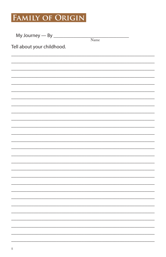#### FAMILY OF ORIGIN

| My Journey — By $\frac{1}{2}$ |      |  |
|-------------------------------|------|--|
|                               | Name |  |
| Tell about your childhood.    |      |  |
|                               |      |  |
|                               |      |  |
|                               |      |  |
|                               |      |  |
|                               |      |  |
|                               |      |  |
|                               |      |  |
|                               |      |  |
|                               |      |  |
|                               |      |  |
|                               |      |  |
|                               |      |  |
|                               |      |  |
|                               |      |  |
|                               |      |  |
|                               |      |  |
|                               |      |  |
|                               |      |  |
|                               |      |  |
|                               |      |  |
|                               |      |  |
|                               |      |  |
|                               |      |  |
|                               |      |  |
|                               |      |  |
|                               |      |  |
|                               |      |  |
|                               |      |  |
|                               |      |  |
|                               |      |  |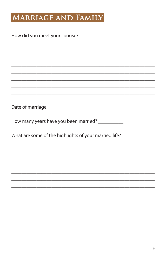#### MARRIAGE AND FAMILY

How many years have you been married? \_\_\_\_\_\_\_\_\_\_\_

What are some of the highlights of your married life?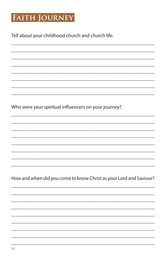#### **FAITH JOURNEY**

Tell about your childhood church and church life.

Who were your spiritual influencers on your journey?

How and when did you come to know Christ as your Lord and Saviour?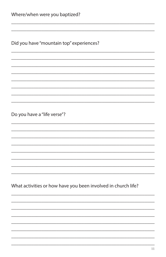Did you have "mountain top" experiences?

Do you have a "life verse"?

What activities or how have you been involved in church life?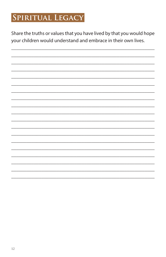#### SPIRITUAL LEGACY

Share the truths or values that you have lived by that you would hope your children would understand and embrace in their own lives.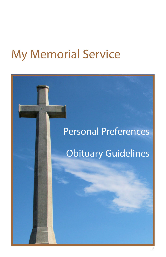## My Memorial Service

# Personal Preferences Obituary Guidelines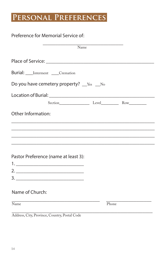#### **Personal Preferences**

| Preference for Memorial Service of:                                                                                   |       |
|-----------------------------------------------------------------------------------------------------------------------|-------|
| Name                                                                                                                  |       |
|                                                                                                                       |       |
| Burial: ____ Interment _____ Cremation                                                                                |       |
| Do you have cemetery property? Fessley No                                                                             |       |
|                                                                                                                       |       |
|                                                                                                                       |       |
| Other Information:                                                                                                    |       |
| <u> 1989 - Johann Stoff, deutscher Stoff, der Stoff, der Stoff, der Stoff, der Stoff, der Stoff, der Stoff, der S</u> |       |
|                                                                                                                       |       |
|                                                                                                                       |       |
| Pastor Preference (name at least 3):                                                                                  |       |
|                                                                                                                       |       |
|                                                                                                                       |       |
|                                                                                                                       |       |
| Name of Church:                                                                                                       |       |
| Name                                                                                                                  | Phone |
| Address, City, Province, Country, Postal Code                                                                         |       |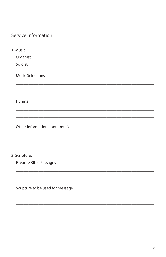Service Information:

| 1. Music:                        |
|----------------------------------|
|                                  |
|                                  |
| <b>Music Selections</b>          |
|                                  |
| Hymns                            |
|                                  |
| Other information about music    |
|                                  |
|                                  |
| 2. Scripture:                    |
| Favorite Bible Passages          |
|                                  |
| Scripture to be used for message |
|                                  |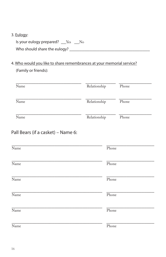#### 3. Eulogy:

Is your eulogy prepared? \_\_Yes \_\_No Who should share the eulogy? \_\_\_\_\_\_\_\_\_\_\_\_\_\_\_\_\_\_\_\_\_\_\_\_\_\_\_\_\_\_\_\_

#### 4. Who would you like to share remembrances at your memorial service? (Family or friends):

| Name | Relationship | Phone |
|------|--------------|-------|
| Name | Relationship | Phone |
| Name | Relationship | Phone |

#### Pall Bears (if a casket) – Name 6:

| Name | Phone |
|------|-------|
| Name | Phone |
| Name | Phone |
| Name | Phone |
| Name | Phone |
| Name | Phone |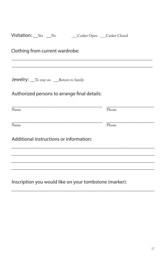| Visitation: Yes No Casket Open Casket Closed           |       |
|--------------------------------------------------------|-------|
| Clothing from current wardrobe:                        |       |
|                                                        |       |
| <b>Jewelry:</b> To stay on ___Return to family         |       |
| Authorized persons to arrange final details:           |       |
| $\overline{\text{Name}}$                               | Phone |
| Name                                                   | Phone |
| Additional instructions or information:                |       |
|                                                        |       |
|                                                        |       |
| Inscription you would like on your tombstone (marker): |       |

\_\_\_\_\_\_\_\_\_\_\_\_\_\_\_\_\_\_\_\_\_\_\_\_\_\_\_\_\_\_\_\_\_\_\_\_\_\_\_\_\_\_\_\_\_\_\_\_\_\_\_\_\_\_\_\_\_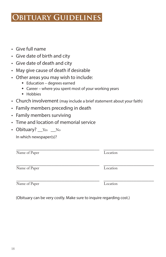#### **Obituary Guidelines**

- • Give full name
- • Give date of birth and city
- • Give date of death and city
- • May give cause of death if desirable
- Other areas you may wish to include:
	- Education degrees earned
	- Career where you spent most of your working years
	- Hobbies
- Church involvement (may include a brief statement about your faith)

\_\_\_\_\_\_\_\_\_\_\_\_\_\_\_\_\_\_\_\_\_\_\_\_\_\_\_\_\_\_\_\_\_ \_\_\_\_\_\_\_\_\_\_\_\_\_\_\_\_\_\_\_\_

- Family members preceding in death
- • Family members surviving
- • Time and location of memorial service
- Obituary? Fes No In which newspaper(s)?

Name of Paper Location

\_\_\_\_\_\_\_\_\_\_\_\_\_\_\_\_\_\_\_\_\_\_\_\_\_\_\_\_\_\_\_\_\_ \_\_\_\_\_\_\_\_\_\_\_\_\_\_\_\_\_\_\_\_ Name of Paper Location

(Obituary can be very costly. Make sure to inquire regarding cost.)

\_\_\_\_\_\_\_\_\_\_\_\_\_\_\_\_\_\_\_\_\_\_\_\_\_\_\_\_\_\_\_\_\_ \_\_\_\_\_\_\_\_\_\_\_\_\_\_\_\_\_\_\_\_

Name of Paper Location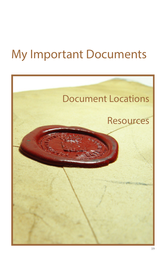## My Important Documents

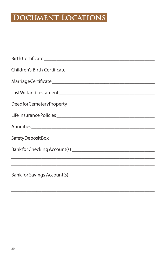#### DOCUMENT LOCATIONS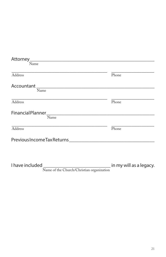| Name                                                                 |                         |
|----------------------------------------------------------------------|-------------------------|
| Address                                                              | Phone                   |
|                                                                      |                         |
| Name                                                                 |                         |
| <u> 1989 - Johann Barnett, fransk politiker (d. 1989)</u><br>Address | Phone                   |
| Name                                                                 |                         |
| Address                                                              | Phone                   |
|                                                                      |                         |
|                                                                      |                         |
|                                                                      | in my will as a legacy. |

Name of the Church/Christian organization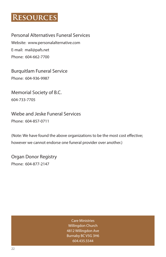#### **Resources**

Personal Alternatives Funeral Services Website: www.personalalternative.com E-mail: mail@pafs.net Phone: 604-662-7700

Burquitlam Funeral Service Phone: 604-936-9987

Memorial Society of B.C. 604-733-7705

Wiebe and Jeske Funeral Services Phone: 604-857-0711

(Note: We have found the above organizations to be the most cost effective; however we cannot endorse one funeral provider over another.)

Organ Donor Registry Phone: 604-877-2147

> Care Ministries Willingdon Church 4812 Willingdon Ave Burnaby BC V5G 3H6 604.435.5544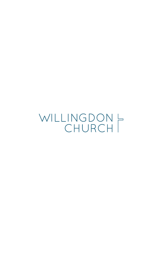WILLINGDON